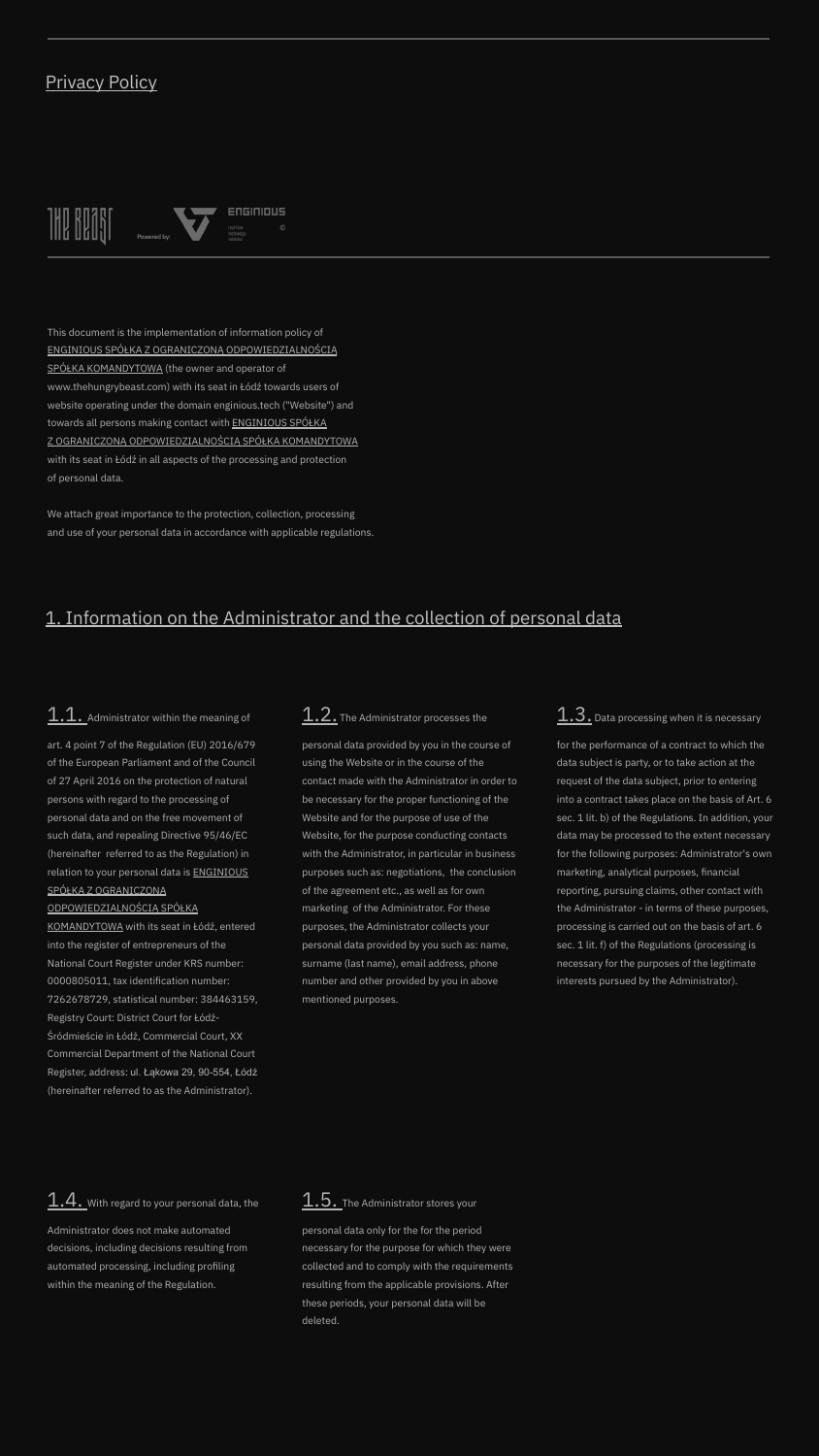#### Privacy Policy

 $\blacksquare$ 



This document is the implementation of information policy of ENGINIOUS SPÓŁKA Z OGRANICZONĄ ODPOWIEDZIALNOŚCIĄ SPÓŁKA KOMANDYTOWA (the owner and operator of www.thehungrybeast.com) with its seat in Łódź towards users of website operating under the domain enginious.tech ("Website") and towards all persons making contact with ENGINIOUS SPÓŁKA Z OGRANICZONĄ ODPOWIEDZIALNOŚCIĄ SPÓŁKA KOMANDYTOWA with its seat in Łódź in all aspects of the processing and protection of personal data.

We attach great importance to the protection, collection, processing and use of your personal data in accordance with applicable regulations.

### 1. Information on the Administrator and the collection of personal data

### $1.1.$  Administrator within the meaning of

art. 4 point 7 of the Regulation (EU) 2016/679 of the European Parliament and of the Council of 27 April 2016 on the protection of natural persons with regard to the processing of personal data and on the free movement of such data, and repealing Directive 95/46/EC (hereinafter referred to as the Regulation) in relation to your personal data is ENGINIOUS SPÓŁKA Z OGRANICZONĄ

#### ODPOWIEDZIALNOŚCIĄ SPÓŁKA

KOMANDYTOWA with its seat in Łódź, entered into the register of entrepreneurs of the National Court Register under KRS number: 0000805011, tax identification number: 7262678729, statistical number: 384463159, Registry Court: District Court for Łódź-Śródmieście in Łódź, Commercial Court, XX Commercial Department of the National Court Register, address: ul. Łąkowa 29, 90-554, Łódź (hereinafter referred to as the Administrator).

 $\underline{1.4.}$  With regard to your personal data, the

Administrator does not make automated decisions, including decisions resulting from automated processing, including profiling within the meaning of the Regulation.

### 1.2. The Administrator processes the

personal data provided by you in the course of using the Website or in the course of the contact made with the Administrator in order to be necessary for the proper functioning of the Website and for the purpose of use of the Website, for the purpose conducting contacts with the Administrator, in particular in business purposes such as: negotiations, the conclusion of the agreement etc., as well as for own marketing of the Administrator. For these purposes, the Administrator collects your personal data provided by you such as: name, surname (last name), email address, phone number and other provided by you in above mentioned purposes.

### $1.3$  . Data processing when it is necessary

for the performance of a contract to which the data subject is party, or to take action at the request of the data subject, prior to entering into a contract takes place on the basis of Art. 6 sec. 1 lit. b) of the Regulations. In addition, your data may be processed to the extent necessary for the following purposes: Administrator's own marketing, analytical purposes, financial reporting, pursuing claims, other contact with the Administrator - in terms of these purposes, processing is carried out on the basis of art. 6 sec. 1 lit. f) of the Regulations (processing is necessary for the purposes of the legitimate interests pursued by the Administrator).

## 1.5. The Administrator stores your

personal data only for the for the period necessary for the purpose for which they were collected and to comply with the requirements resulting from the applicable provisions. After these periods, your personal data will be deleted.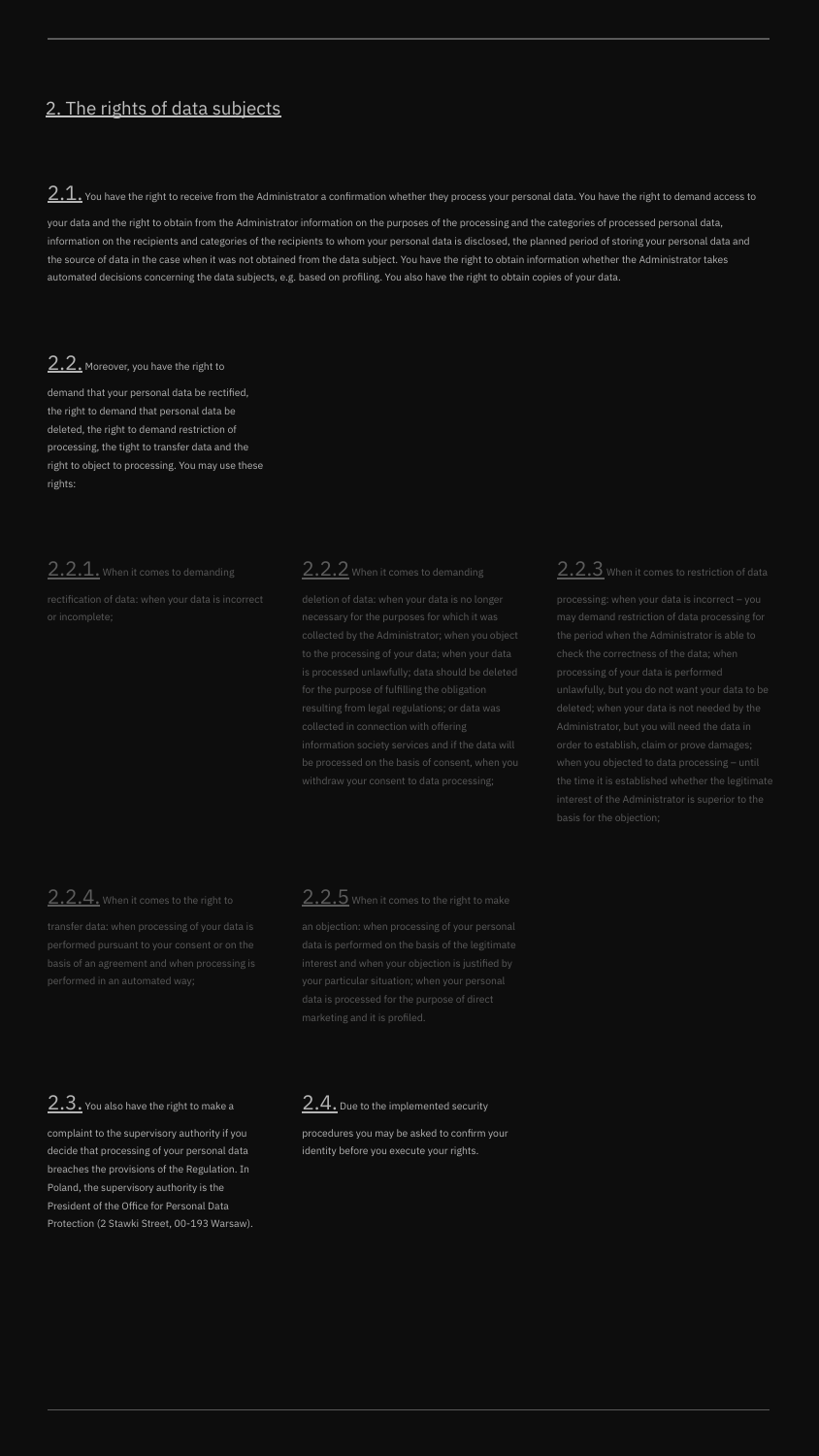### 2. The rights of data subjects

 $\overline{2.1}.$  You have the right to receive from the Administrator a confirmation whether they process your personal data. You have the right to demand access to

your data and the right to obtain from the Administrator information on the purposes of the processing and the categories of processed personal data, information on the recipients and categories of the recipients to whom your personal data is disclosed, the planned period of storing your personal data and the source of data in the case when it was not obtained from the data subject. You have the right to obtain information whether the Administrator takes automated decisions concerning the data subjects, e.g. based on profiling. You also have the right to obtain copies of your data.

#### 2.2. Moreover, you have the right to

demand that your personal data be rectified, the right to demand that personal data be deleted, the right to demand restriction of processing, the tight to transfer data and the right to object to processing. You may use these rights:

### 2.2.1. When it comes to demanding

#### 2.2.2 When it comes to demanding

### 2.2.3 When it comes to restriction of data

### 2.2.4. When it comes to the right to

# 2.3. You also have the right to make a

complaint to the supervisory authority if you decide that processing of your personal data breaches the provisions of the Regulation. In Poland, the supervisory authority is the President of the Office for Personal Data Protection (2 Stawki Street, 00-193 Warsaw).

## 2.2.5 When it comes to the right to make

## 2.4. Due to the implemented security

procedures you may be asked to confirm your identity before you execute your rights.